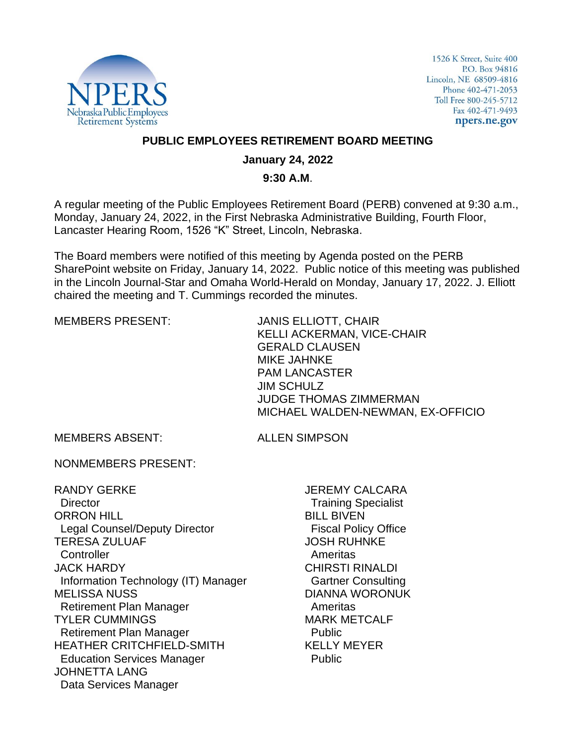

1526 K Street, Suite 400 P.O. Box 94816 Lincoln, NE 68509-4816 Phone 402-471-2053 Toll Free 800-245-5712 Fax 402-471-9493 npers.ne.gov

### **PUBLIC EMPLOYEES RETIREMENT BOARD MEETING**

## **January 24, 2022**

### **9:30 A.M**.

A regular meeting of the Public Employees Retirement Board (PERB) convened at 9:30 a.m., Monday, January 24, 2022, in the First Nebraska Administrative Building, Fourth Floor, Lancaster Hearing Room, 1526 "K" Street, Lincoln, Nebraska.

The Board members were notified of this meeting by Agenda posted on the PERB SharePoint website on Friday, January 14, 2022. Public notice of this meeting was published in the Lincoln Journal-Star and Omaha World-Herald on Monday, January 17, 2022. J. Elliott chaired the meeting and T. Cummings recorded the minutes.

MEMBERS PRESENT: JANIS ELLIOTT, CHAIR KELLI ACKERMAN, VICE-CHAIR GERALD CLAUSEN MIKE JAHNKE PAM LANCASTER JIM SCHULZ JUDGE THOMAS ZIMMERMAN MICHAEL WALDEN-NEWMAN, EX-OFFICIO

MEMBERS ABSENT: ALLEN SIMPSON

NONMEMBERS PRESENT:

RANDY GERKE **Director** ORRON HILL Legal Counsel/Deputy Director TERESA ZULUAF **Controller** JACK HARDY Information Technology (IT) Manager MELISSA NUSS Retirement Plan Manager TYLER CUMMINGS Retirement Plan Manager HEATHER CRITCHFIELD-SMITH Education Services Manager JOHNETTA LANG Data Services Manager

JEREMY CALCARA Training Specialist BILL BIVEN Fiscal Policy Office JOSH RUHNKE Ameritas CHIRSTI RINALDI Gartner Consulting DIANNA WORONUK Ameritas MARK METCALF Public KELLY MEYER Public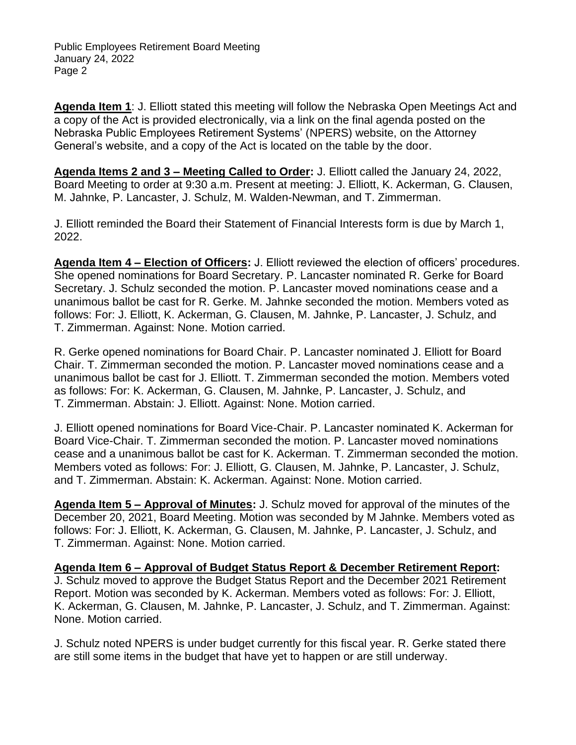**Agenda Item 1**: J. Elliott stated this meeting will follow the Nebraska Open Meetings Act and a copy of the Act is provided electronically, via a link on the final agenda posted on the Nebraska Public Employees Retirement Systems' (NPERS) website, on the Attorney General's website, and a copy of the Act is located on the table by the door.

**Agenda Items 2 and 3 – Meeting Called to Order:** J. Elliott called the January 24, 2022, Board Meeting to order at 9:30 a.m. Present at meeting: J. Elliott, K. Ackerman, G. Clausen, M. Jahnke, P. Lancaster, J. Schulz, M. Walden-Newman, and T. Zimmerman.

J. Elliott reminded the Board their Statement of Financial Interests form is due by March 1, 2022.

**Agenda Item 4 – Election of Officers:** J. Elliott reviewed the election of officers' procedures. She opened nominations for Board Secretary. P. Lancaster nominated R. Gerke for Board Secretary. J. Schulz seconded the motion. P. Lancaster moved nominations cease and a unanimous ballot be cast for R. Gerke. M. Jahnke seconded the motion. Members voted as follows: For: J. Elliott, K. Ackerman, G. Clausen, M. Jahnke, P. Lancaster, J. Schulz, and T. Zimmerman. Against: None. Motion carried.

R. Gerke opened nominations for Board Chair. P. Lancaster nominated J. Elliott for Board Chair. T. Zimmerman seconded the motion. P. Lancaster moved nominations cease and a unanimous ballot be cast for J. Elliott. T. Zimmerman seconded the motion. Members voted as follows: For: K. Ackerman, G. Clausen, M. Jahnke, P. Lancaster, J. Schulz, and T. Zimmerman. Abstain: J. Elliott. Against: None. Motion carried.

J. Elliott opened nominations for Board Vice-Chair. P. Lancaster nominated K. Ackerman for Board Vice-Chair. T. Zimmerman seconded the motion. P. Lancaster moved nominations cease and a unanimous ballot be cast for K. Ackerman. T. Zimmerman seconded the motion. Members voted as follows: For: J. Elliott, G. Clausen, M. Jahnke, P. Lancaster, J. Schulz, and T. Zimmerman. Abstain: K. Ackerman. Against: None. Motion carried.

**Agenda Item 5 – Approval of Minutes:** J. Schulz moved for approval of the minutes of the December 20, 2021, Board Meeting. Motion was seconded by M Jahnke. Members voted as follows: For: J. Elliott, K. Ackerman, G. Clausen, M. Jahnke, P. Lancaster, J. Schulz, and T. Zimmerman. Against: None. Motion carried.

**Agenda Item 6 – Approval of Budget Status Report & December Retirement Report:**  J. Schulz moved to approve the Budget Status Report and the December 2021 Retirement Report. Motion was seconded by K. Ackerman. Members voted as follows: For: J. Elliott, K. Ackerman, G. Clausen, M. Jahnke, P. Lancaster, J. Schulz, and T. Zimmerman. Against: None. Motion carried.

J. Schulz noted NPERS is under budget currently for this fiscal year. R. Gerke stated there are still some items in the budget that have yet to happen or are still underway.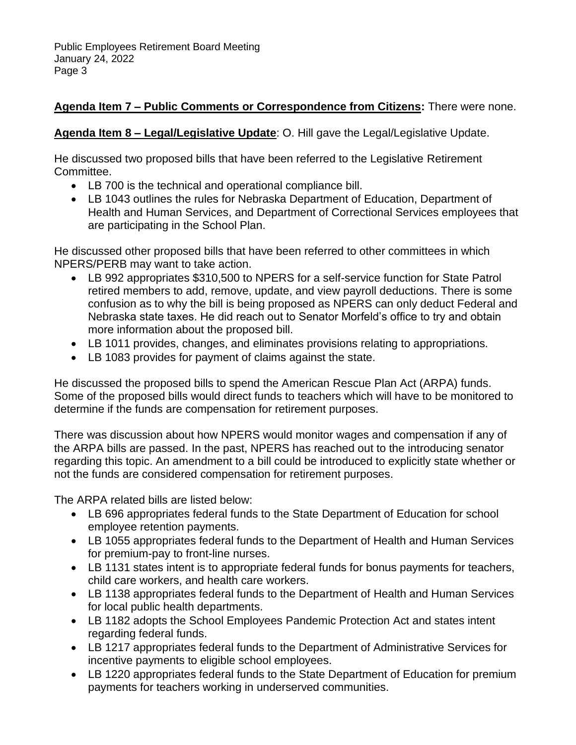# **Agenda Item 7 – Public Comments or Correspondence from Citizens:** There were none.

# **Agenda Item 8 – Legal/Legislative Update**: O. Hill gave the Legal/Legislative Update.

He discussed two proposed bills that have been referred to the Legislative Retirement Committee.

- LB 700 is the technical and operational compliance bill.
- LB 1043 outlines the rules for Nebraska Department of Education, Department of Health and Human Services, and Department of Correctional Services employees that are participating in the School Plan.

He discussed other proposed bills that have been referred to other committees in which NPERS/PERB may want to take action.

- LB 992 appropriates \$310,500 to NPERS for a self-service function for State Patrol retired members to add, remove, update, and view payroll deductions. There is some confusion as to why the bill is being proposed as NPERS can only deduct Federal and Nebraska state taxes. He did reach out to Senator Morfeld's office to try and obtain more information about the proposed bill.
- LB 1011 provides, changes, and eliminates provisions relating to appropriations.
- LB 1083 provides for payment of claims against the state.

He discussed the proposed bills to spend the American Rescue Plan Act (ARPA) funds. Some of the proposed bills would direct funds to teachers which will have to be monitored to determine if the funds are compensation for retirement purposes.

There was discussion about how NPERS would monitor wages and compensation if any of the ARPA bills are passed. In the past, NPERS has reached out to the introducing senator regarding this topic. An amendment to a bill could be introduced to explicitly state whether or not the funds are considered compensation for retirement purposes.

The ARPA related bills are listed below:

- LB 696 appropriates federal funds to the State Department of Education for school employee retention payments.
- LB 1055 appropriates federal funds to the Department of Health and Human Services for premium-pay to front-line nurses.
- LB 1131 states intent is to appropriate federal funds for bonus payments for teachers, child care workers, and health care workers.
- LB 1138 appropriates federal funds to the Department of Health and Human Services for local public health departments.
- LB 1182 adopts the School Employees Pandemic Protection Act and states intent regarding federal funds.
- LB 1217 appropriates federal funds to the Department of Administrative Services for incentive payments to eligible school employees.
- LB 1220 appropriates federal funds to the State Department of Education for premium payments for teachers working in underserved communities.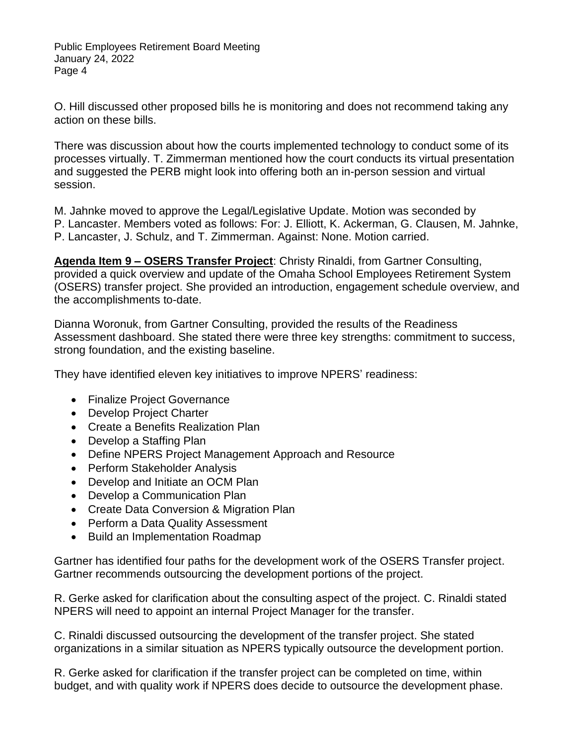O. Hill discussed other proposed bills he is monitoring and does not recommend taking any action on these bills.

There was discussion about how the courts implemented technology to conduct some of its processes virtually. T. Zimmerman mentioned how the court conducts its virtual presentation and suggested the PERB might look into offering both an in-person session and virtual session.

M. Jahnke moved to approve the Legal/Legislative Update. Motion was seconded by P. Lancaster. Members voted as follows: For: J. Elliott, K. Ackerman, G. Clausen, M. Jahnke, P. Lancaster, J. Schulz, and T. Zimmerman. Against: None. Motion carried.

**Agenda Item 9 – OSERS Transfer Project**: Christy Rinaldi, from Gartner Consulting, provided a quick overview and update of the Omaha School Employees Retirement System (OSERS) transfer project. She provided an introduction, engagement schedule overview, and the accomplishments to-date.

Dianna Woronuk, from Gartner Consulting, provided the results of the Readiness Assessment dashboard. She stated there were three key strengths: commitment to success, strong foundation, and the existing baseline.

They have identified eleven key initiatives to improve NPERS' readiness:

- Finalize Project Governance
- Develop Project Charter
- Create a Benefits Realization Plan
- Develop a Staffing Plan
- Define NPERS Project Management Approach and Resource
- Perform Stakeholder Analysis
- Develop and Initiate an OCM Plan
- Develop a Communication Plan
- Create Data Conversion & Migration Plan
- Perform a Data Quality Assessment
- Build an Implementation Roadmap

Gartner has identified four paths for the development work of the OSERS Transfer project. Gartner recommends outsourcing the development portions of the project.

R. Gerke asked for clarification about the consulting aspect of the project. C. Rinaldi stated NPERS will need to appoint an internal Project Manager for the transfer.

C. Rinaldi discussed outsourcing the development of the transfer project. She stated organizations in a similar situation as NPERS typically outsource the development portion.

R. Gerke asked for clarification if the transfer project can be completed on time, within budget, and with quality work if NPERS does decide to outsource the development phase.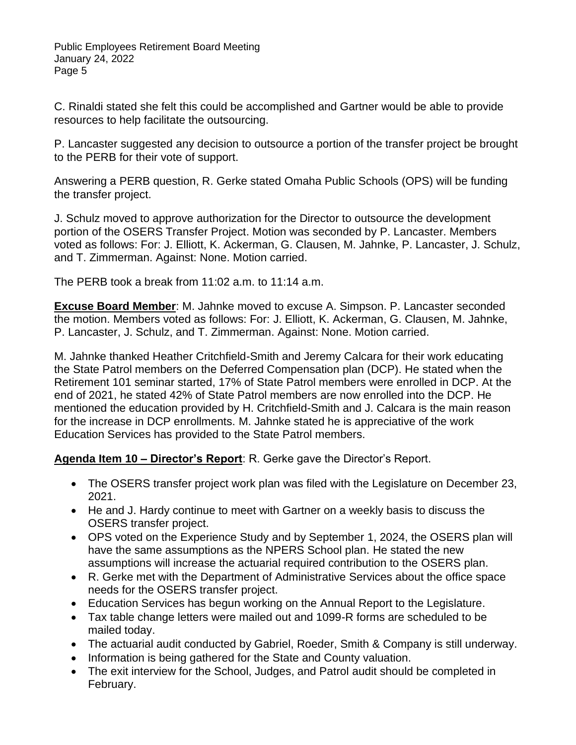C. Rinaldi stated she felt this could be accomplished and Gartner would be able to provide resources to help facilitate the outsourcing.

P. Lancaster suggested any decision to outsource a portion of the transfer project be brought to the PERB for their vote of support.

Answering a PERB question, R. Gerke stated Omaha Public Schools (OPS) will be funding the transfer project.

J. Schulz moved to approve authorization for the Director to outsource the development portion of the OSERS Transfer Project. Motion was seconded by P. Lancaster. Members voted as follows: For: J. Elliott, K. Ackerman, G. Clausen, M. Jahnke, P. Lancaster, J. Schulz, and T. Zimmerman. Against: None. Motion carried.

The PERB took a break from 11:02 a.m. to 11:14 a.m.

**Excuse Board Member**: M. Jahnke moved to excuse A. Simpson. P. Lancaster seconded the motion. Members voted as follows: For: J. Elliott, K. Ackerman, G. Clausen, M. Jahnke, P. Lancaster, J. Schulz, and T. Zimmerman. Against: None. Motion carried.

M. Jahnke thanked Heather Critchfield-Smith and Jeremy Calcara for their work educating the State Patrol members on the Deferred Compensation plan (DCP). He stated when the Retirement 101 seminar started, 17% of State Patrol members were enrolled in DCP. At the end of 2021, he stated 42% of State Patrol members are now enrolled into the DCP. He mentioned the education provided by H. Critchfield-Smith and J. Calcara is the main reason for the increase in DCP enrollments. M. Jahnke stated he is appreciative of the work Education Services has provided to the State Patrol members.

**Agenda Item 10 – Director's Report**: R. Gerke gave the Director's Report.

- The OSERS transfer project work plan was filed with the Legislature on December 23, 2021.
- He and J. Hardy continue to meet with Gartner on a weekly basis to discuss the OSERS transfer project.
- OPS voted on the Experience Study and by September 1, 2024, the OSERS plan will have the same assumptions as the NPERS School plan. He stated the new assumptions will increase the actuarial required contribution to the OSERS plan.
- R. Gerke met with the Department of Administrative Services about the office space needs for the OSERS transfer project.
- Education Services has begun working on the Annual Report to the Legislature.
- Tax table change letters were mailed out and 1099-R forms are scheduled to be mailed today.
- The actuarial audit conducted by Gabriel, Roeder, Smith & Company is still underway.
- Information is being gathered for the State and County valuation.
- The exit interview for the School, Judges, and Patrol audit should be completed in February.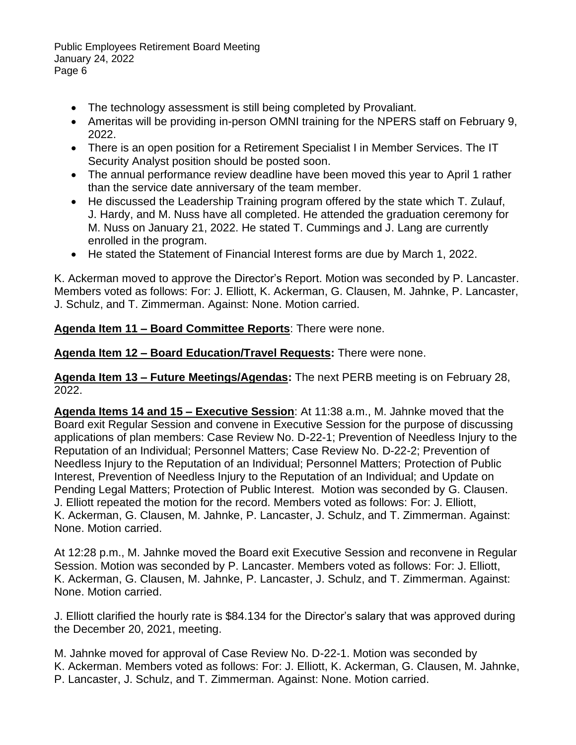- The technology assessment is still being completed by Provaliant.
- Ameritas will be providing in-person OMNI training for the NPERS staff on February 9, 2022.
- There is an open position for a Retirement Specialist I in Member Services. The IT Security Analyst position should be posted soon.
- The annual performance review deadline have been moved this year to April 1 rather than the service date anniversary of the team member.
- He discussed the Leadership Training program offered by the state which T. Zulauf, J. Hardy, and M. Nuss have all completed. He attended the graduation ceremony for M. Nuss on January 21, 2022. He stated T. Cummings and J. Lang are currently enrolled in the program.
- He stated the Statement of Financial Interest forms are due by March 1, 2022.

K. Ackerman moved to approve the Director's Report. Motion was seconded by P. Lancaster. Members voted as follows: For: J. Elliott, K. Ackerman, G. Clausen, M. Jahnke, P. Lancaster, J. Schulz, and T. Zimmerman. Against: None. Motion carried.

**Agenda Item 11 – Board Committee Reports**: There were none.

**Agenda Item 12 – Board Education/Travel Requests:** There were none.

**Agenda Item 13 – Future Meetings/Agendas:** The next PERB meeting is on February 28, 2022.

**Agenda Items 14 and 15 – Executive Session**: At 11:38 a.m., M. Jahnke moved that the Board exit Regular Session and convene in Executive Session for the purpose of discussing applications of plan members: Case Review No. D-22-1; Prevention of Needless Injury to the Reputation of an Individual; Personnel Matters; Case Review No. D-22-2; Prevention of Needless Injury to the Reputation of an Individual; Personnel Matters; Protection of Public Interest, Prevention of Needless Injury to the Reputation of an Individual; and Update on Pending Legal Matters; Protection of Public Interest. Motion was seconded by G. Clausen. J. Elliott repeated the motion for the record. Members voted as follows: For: J. Elliott, K. Ackerman, G. Clausen, M. Jahnke, P. Lancaster, J. Schulz, and T. Zimmerman. Against: None. Motion carried.

At 12:28 p.m., M. Jahnke moved the Board exit Executive Session and reconvene in Regular Session. Motion was seconded by P. Lancaster. Members voted as follows: For: J. Elliott, K. Ackerman, G. Clausen, M. Jahnke, P. Lancaster, J. Schulz, and T. Zimmerman. Against: None. Motion carried.

J. Elliott clarified the hourly rate is \$84.134 for the Director's salary that was approved during the December 20, 2021, meeting.

M. Jahnke moved for approval of Case Review No. D-22-1. Motion was seconded by K. Ackerman. Members voted as follows: For: J. Elliott, K. Ackerman, G. Clausen, M. Jahnke, P. Lancaster, J. Schulz, and T. Zimmerman. Against: None. Motion carried.